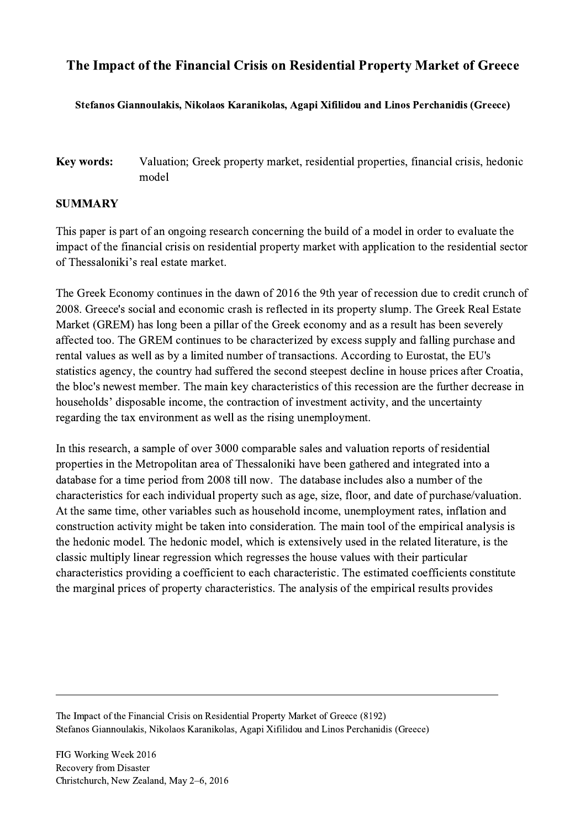## The Impact of the Financial Crisis on Residential Property Market of Greece

## Stefanos Giannoulakis, Nikolaos Karanikolas, Agapi Xifilidou and Linos Perchanidis (Greece)

## Key words: Valuation; Greek property market, residential properties, financial crisis, hedonic model

## SUMMARY

This paper is part of an ongoing research concerning the build of a model in order to evaluate the impact of the financial crisis on residential property market with application to the residential sector of Thessaloniki's real estate market.

The Greek Economy continues in the dawn of 2016 the 9th year of recession due to credit crunch of 2008. Greece's social and economic crash is reflected in its property slump. The Greek Real Estate Market (GREM) has long been a pillar of the Greek economy and as a result has been severely affected too. The GREM continues to be characterized by excess supply and falling purchase and rental values as well as by a limited number of transactions. According to Eurostat, the EU's statistics agency, the country had suffered the second steepest decline in house prices after Croatia, the bloc's newest member. The main key characteristics of this recession are the further decrease in households' disposable income, the contraction of investment activity, and the uncertainty regarding the tax environment as well as the rising unemployment.

In this research, a sample of over 3000 comparable sales and valuation reports of residential properties in the Metropolitan area of Thessaloniki have been gathered and integrated into a database for a time period from 2008 till now. The database includes also a number of the characteristics for each individual property such as age, size, floor, and date of purchase/valuation. At the same time, other variables such as household income, unemployment rates, inflation and construction activity might be taken into consideration. The main tool of the empirical analysis is the hedonic model. The hedonic model, which is extensively used in the related literature, is the classic multiply linear regression which regresses the house values with their particular characteristics providing a coefficient to each characteristic. The estimated coefficients constitute the marginal prices of property characteristics. The analysis of the empirical results provides

The Impact of the Financial Crisis on Residential Property Market of Greece (8192) Stefanos Giannoulakis, Nikolaos Karanikolas, Agapi Xifilidou and Linos Perchanidis (Greece)

 $\mathcal{L}_\mathcal{L} = \{ \mathcal{L}_\mathcal{L} = \{ \mathcal{L}_\mathcal{L} = \{ \mathcal{L}_\mathcal{L} = \{ \mathcal{L}_\mathcal{L} = \{ \mathcal{L}_\mathcal{L} = \{ \mathcal{L}_\mathcal{L} = \{ \mathcal{L}_\mathcal{L} = \{ \mathcal{L}_\mathcal{L} = \{ \mathcal{L}_\mathcal{L} = \{ \mathcal{L}_\mathcal{L} = \{ \mathcal{L}_\mathcal{L} = \{ \mathcal{L}_\mathcal{L} = \{ \mathcal{L}_\mathcal{L} = \{ \mathcal{L}_\mathcal{$